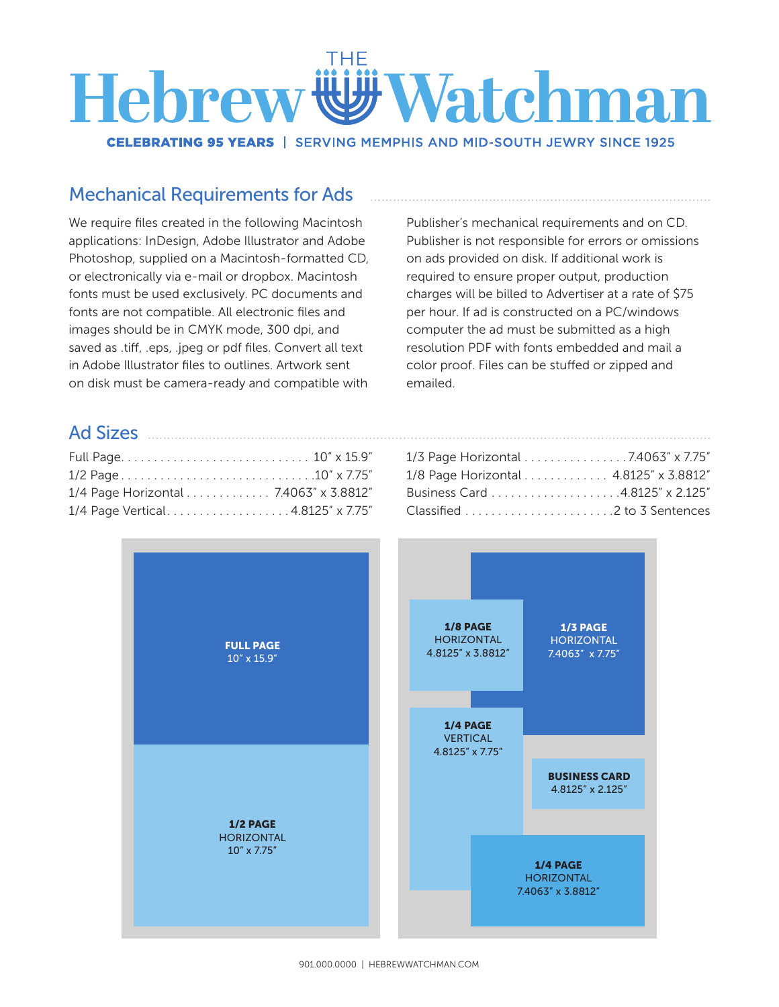## Watchman **Hebrew**

**CELEBRATING 95 YEARS | SERVING MEMPHIS AND MID-SOUTH JEWRY SINCE 1925** 

## Mechanical Requirements for Ads

We require files created in the following Macintosh applications: InDesign, Adobe Illustrator and Adobe Photoshop, supplied on a Macintosh-formatted CD, or electronically via e-mail or dropbox. Macintosh fonts must be used exclusively. PC documents and fonts are not compatible. All electronic files and images should be in CMYK mode, 300 dpi, and saved as .tiff, .eps, .jpeg or pdf files. Convert all text in Adobe Illustrator files to outlines. Artwork sent on disk must be camera-ready and compatible with

Publisher's mechanical requirements and on CD. Publisher is not responsible for errors or omissions on ads provided on disk. If additional work is required to ensure proper output, production charges will be billed to Advertiser at a rate of \$75 per hour. If ad is constructed on a PC/windows computer the ad must be submitted as a high resolution PDF with fonts embedded and mail a color proof. Files can be stuffed or zipped and emailed.

## Ad Sizes

| 1/4 Page Horizontal 7.4063" x 3.8812" |  |
|---------------------------------------|--|
| 1/4 Page Vertical4.8125" x 7.75"      |  |

| 1/3 Page Horizontal 7.4063" x 7.75"   |  |
|---------------------------------------|--|
| 1/8 Page Horizontal 4.8125" x 3.8812" |  |
|                                       |  |
|                                       |  |